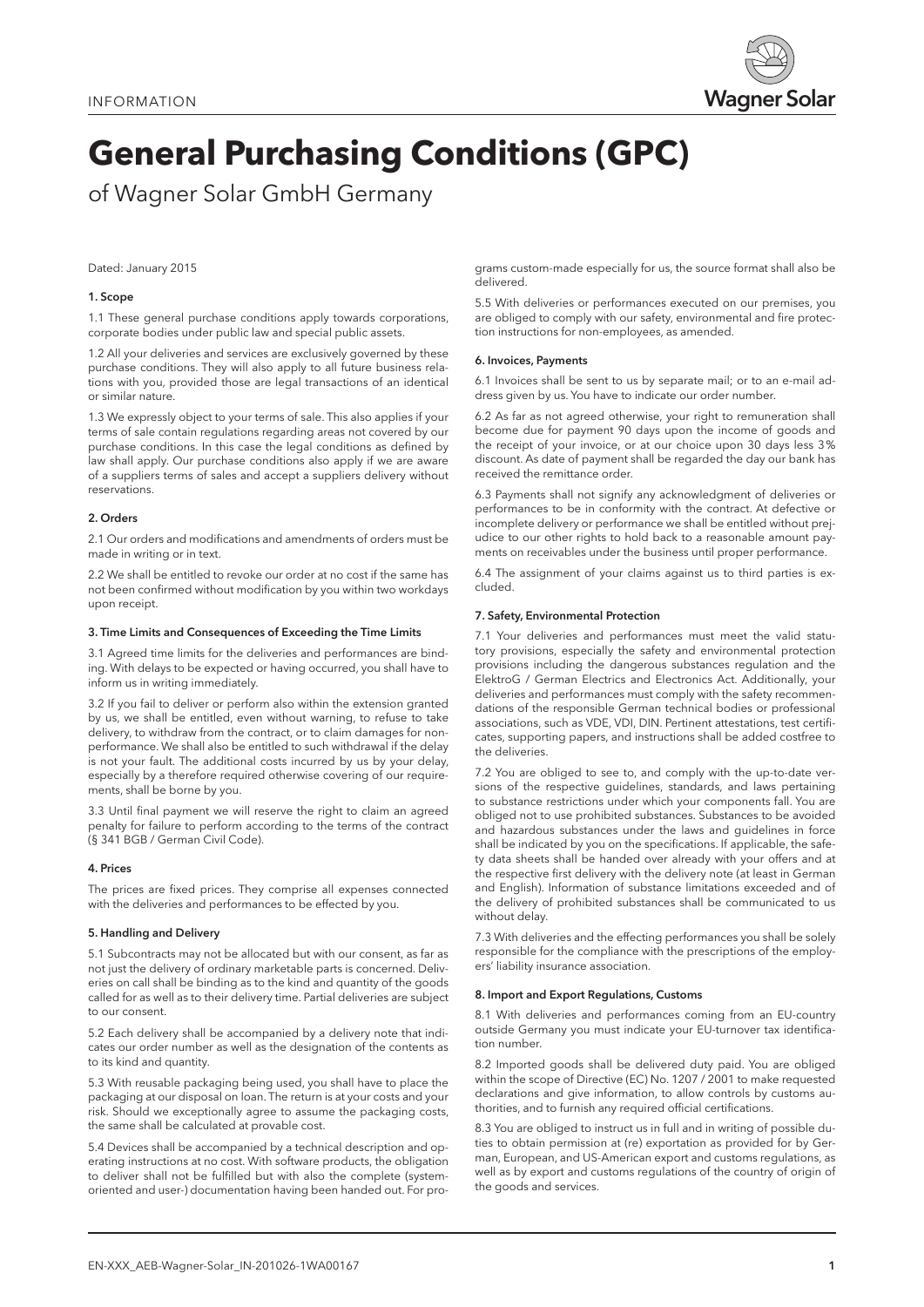

# **General Purchasing Conditions (GPC)**

of Wagner Solar GmbH Germany

## Dated: January 2015

## 1. Scope

1.1 These general purchase conditions apply towards corporations, corporate bodies under public law and special public assets.

1.2 All your deliveries and services are exclusively governed by these purchase conditions. They will also apply to all future business relations with you, provided those are legal transactions of an identical or similar nature.

1.3 We expressly object to your terms of sale. This also applies if your terms of sale contain regulations regarding areas not covered by our purchase conditions. In this case the legal conditions as defined by law shall apply. Our purchase conditions also apply if we are aware of a suppliers terms of sales and accept a suppliers delivery without reservations.

## 2. Orders

2.1 Our orders and modifications and amendments of orders must be made in writing or in text.

2.2 We shall be entitled to revoke our order at no cost if the same has not been confirmed without modification by you within two workdays upon receipt.

## 3. Time Limits and Consequences of Exceeding the Time Limits

3.1 Agreed time limits for the deliveries and performances are binding. With delays to be expected or having occurred, you shall have to inform us in writing immediately.

3.2 If you fail to deliver or perform also within the extension granted by us, we shall be entitled, even without warning, to refuse to take delivery, to withdraw from the contract, or to claim damages for nonperformance. We shall also be entitled to such withdrawal if the delay is not your fault. The additional costs incurred by us by your delay, especially by a therefore required otherwise covering of our requirements, shall be borne by you.

3.3 Until final payment we will reserve the right to claim an agreed penalty for failure to perform according to the terms of the contract (§ 341 BGB / German Civil Code).

#### 4. Prices

The prices are fixed prices. They comprise all expenses connected with the deliveries and performances to be effected by you.

## 5. Handling and Delivery

5.1 Subcontracts may not be allocated but with our consent, as far as not just the delivery of ordinary marketable parts is concerned. Deliveries on call shall be binding as to the kind and quantity of the goods called for as well as to their delivery time. Partial deliveries are subject to our consent.

5.2 Each delivery shall be accompanied by a delivery note that indicates our order number as well as the designation of the contents as to its kind and quantity.

5.3 With reusable packaging being used, you shall have to place the packaging at our disposal on loan. The return is at your costs and your risk. Should we exceptionally agree to assume the packaging costs, the same shall be calculated at provable cost.

5.4 Devices shall be accompanied by a technical description and operating instructions at no cost. With software products, the obligation to deliver shall not be fulfilled but with also the complete (systemoriented and user-) documentation having been handed out. For programs custom-made especially for us, the source format shall also be delivered.

5.5 With deliveries or performances executed on our premises, you are obliged to comply with our safety, environmental and fire protection instructions for non-employees, as amended.

#### 6. Invoices, Payments

6.1 Invoices shall be sent to us by separate mail; or to an e-mail address given by us. You have to indicate our order number.

6.2 As far as not agreed otherwise, your right to remuneration shall become due for payment 90 days upon the income of goods and the receipt of your invoice, or at our choice upon 30 days less 3% discount. As date of payment shall be regarded the day our bank has received the remittance order.

6.3 Payments shall not signify any acknowledgment of deliveries or performances to be in conformity with the contract. At defective or incomplete delivery or performance we shall be entitled without prejudice to our other rights to hold back to a reasonable amount payments on receivables under the business until proper performance.

6.4 The assignment of your claims against us to third parties is excluded.

## 7. Safety, Environmental Protection

7.1 Your deliveries and performances must meet the valid statutory provisions, especially the safety and environmental protection provisions including the dangerous substances regulation and the ElektroG / German Electrics and Electronics Act. Additionally, your deliveries and performances must comply with the safety recommendations of the responsible German technical bodies or professional associations, such as VDE, VDI, DIN. Pertinent attestations, test certificates, supporting papers, and instructions shall be added costfree to the deliveries.

7.2 You are obliged to see to, and comply with the up-to-date versions of the respective guidelines, standards, and laws pertaining to substance restrictions under which your components fall. You are obliged not to use prohibited substances. Substances to be avoided and hazardous substances under the laws and guidelines in force shall be indicated by you on the specifications. If applicable, the safety data sheets shall be handed over already with your offers and at the respective first delivery with the delivery note (at least in German and English). Information of substance limitations exceeded and of the delivery of prohibited substances shall be communicated to us without delay.

7.3 With deliveries and the effecting performances you shall be solely responsible for the compliance with the prescriptions of the employers' liability insurance association.

## 8. Import and Export Regulations, Customs

8.1 With deliveries and performances coming from an EU-country outside Germany you must indicate your EU-turnover tax identification number.

8.2 Imported goods shall be delivered duty paid. You are obliged within the scope of Directive (EC) No. 1207 / 2001 to make requested declarations and give information, to allow controls by customs authorities, and to furnish any required official certifications.

8.3 You are obliged to instruct us in full and in writing of possible duties to obtain permission at (re) exportation as provided for by German, European, and US-American export and customs regulations, as well as by export and customs regulations of the country of origin of the goods and services.